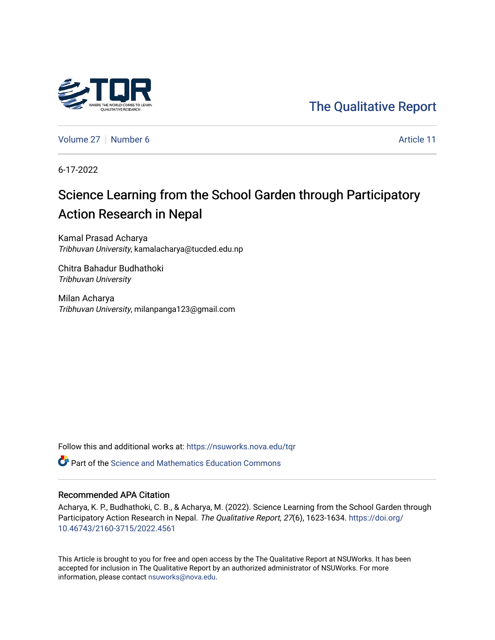



[Volume 27](https://nsuworks.nova.edu/tqr/vol27) [Number 6](https://nsuworks.nova.edu/tqr/vol27/iss6) Article 11

6-17-2022

# Science Learning from the School Garden through Participatory Action Research in Nepal

Kamal Prasad Acharya Tribhuvan University, kamalacharya@tucded.edu.np

Chitra Bahadur Budhathoki Tribhuvan University

Milan Acharya Tribhuvan University, milanpanga123@gmail.com

Follow this and additional works at: [https://nsuworks.nova.edu/tqr](https://nsuworks.nova.edu/tqr?utm_source=nsuworks.nova.edu%2Ftqr%2Fvol27%2Fiss6%2F11&utm_medium=PDF&utm_campaign=PDFCoverPages) 

**P** Part of the Science and Mathematics Education Commons

## Recommended APA Citation

Acharya, K. P., Budhathoki, C. B., & Acharya, M. (2022). Science Learning from the School Garden through Participatory Action Research in Nepal. The Qualitative Report, 27(6), 1623-1634. [https://doi.org/](https://doi.org/10.46743/2160-3715/2022.4561) [10.46743/2160-3715/2022.4561](https://doi.org/10.46743/2160-3715/2022.4561)

This Article is brought to you for free and open access by the The Qualitative Report at NSUWorks. It has been accepted for inclusion in The Qualitative Report by an authorized administrator of NSUWorks. For more information, please contact [nsuworks@nova.edu.](mailto:nsuworks@nova.edu)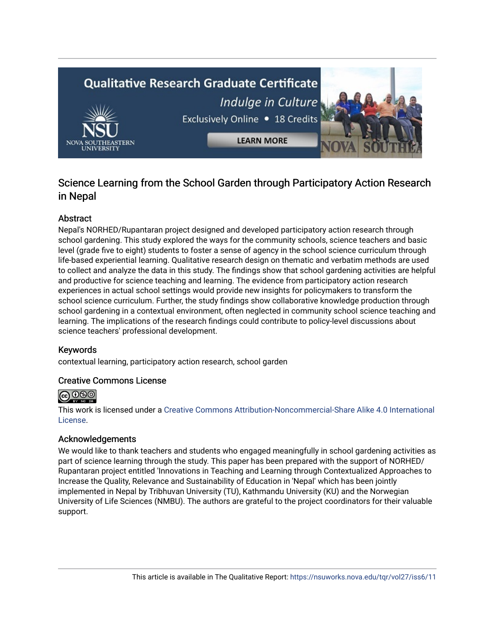# **Qualitative Research Graduate Certificate** Indulge in Culture Exclusively Online . 18 Credits **LEARN MORE**

# Science Learning from the School Garden through Participatory Action Research in Nepal

# Abstract

Nepal's NORHED/Rupantaran project designed and developed participatory action research through school gardening. This study explored the ways for the community schools, science teachers and basic level (grade five to eight) students to foster a sense of agency in the school science curriculum through life-based experiential learning. Qualitative research design on thematic and verbatim methods are used to collect and analyze the data in this study. The findings show that school gardening activities are helpful and productive for science teaching and learning. The evidence from participatory action research experiences in actual school settings would provide new insights for policymakers to transform the school science curriculum. Further, the study findings show collaborative knowledge production through school gardening in a contextual environment, often neglected in community school science teaching and learning. The implications of the research findings could contribute to policy-level discussions about science teachers' professional development.

## Keywords

contextual learning, participatory action research, school garden

## Creative Commons License



This work is licensed under a [Creative Commons Attribution-Noncommercial-Share Alike 4.0 International](https://creativecommons.org/licenses/by-nc-sa/4.0/)  [License](https://creativecommons.org/licenses/by-nc-sa/4.0/).

## Acknowledgements

We would like to thank teachers and students who engaged meaningfully in school gardening activities as part of science learning through the study. This paper has been prepared with the support of NORHED/ Rupantaran project entitled 'Innovations in Teaching and Learning through Contextualized Approaches to Increase the Quality, Relevance and Sustainability of Education in 'Nepal' which has been jointly implemented in Nepal by Tribhuvan University (TU), Kathmandu University (KU) and the Norwegian University of Life Sciences (NMBU). The authors are grateful to the project coordinators for their valuable support.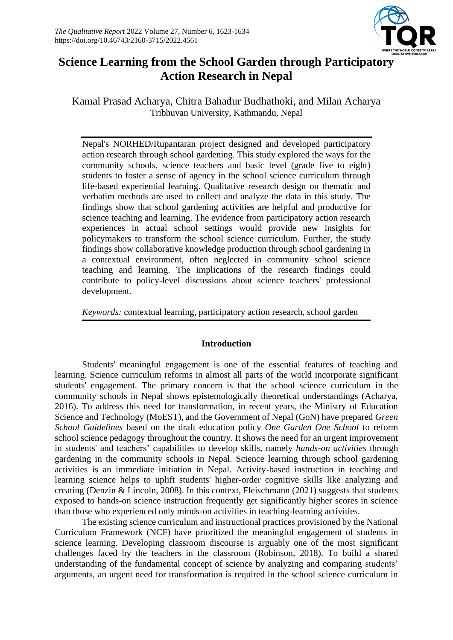

# **Science Learning from the School Garden through Participatory Action Research in Nepal**

Kamal Prasad Acharya, Chitra Bahadur Budhathoki, and Milan Acharya Tribhuvan University, Kathmandu, Nepal

Nepal's NORHED/Rupantaran project designed and developed participatory action research through school gardening. This study explored the ways for the community schools, science teachers and basic level (grade five to eight) students to foster a sense of agency in the school science curriculum through life-based experiential learning. Qualitative research design on thematic and verbatim methods are used to collect and analyze the data in this study. The findings show that school gardening activities are helpful and productive for science teaching and learning. The evidence from participatory action research experiences in actual school settings would provide new insights for policymakers to transform the school science curriculum. Further, the study findings show collaborative knowledge production through school gardening in a contextual environment, often neglected in community school science teaching and learning. The implications of the research findings could contribute to policy-level discussions about science teachers' professional development.

*Keywords:* contextual learning, participatory action research, school garden

# **Introduction**

Students' meaningful engagement is one of the essential features of teaching and learning. Science curriculum reforms in almost all parts of the world incorporate significant students' engagement. The primary concern is that the school science curriculum in the community schools in Nepal shows epistemologically theoretical understandings (Acharya, 2016). To address this need for transformation, in recent years, the Ministry of Education Science and Technology (MoEST), and the Government of Nepal (GoN) have prepared *Green School Guidelines* based on the draft education policy *One Garden One School* to reform school science pedagogy throughout the country. It shows the need for an urgent improvement in students' and teachers' capabilities to develop skills, namely *hands-on activities* through gardening in the community schools in Nepal. Science learning through school gardening activities is an immediate initiation in Nepal. Activity-based instruction in teaching and learning science helps to uplift students' higher-order cognitive skills like analyzing and creating (Denzin & Lincoln, 2008). In this context, Fleischmann (2021) suggests that students exposed to hands-on science instruction frequently get significantly higher scores in science than those who experienced only minds-on activities in teaching-learning activities.

The existing science curriculum and instructional practices provisioned by the National Curriculum Framework (NCF) have prioritized the meaningful engagement of students in science learning. Developing classroom discourse is arguably one of the most significant challenges faced by the teachers in the classroom (Robinson, 2018). To build a shared understanding of the fundamental concept of science by analyzing and comparing students' arguments, an urgent need for transformation is required in the school science curriculum in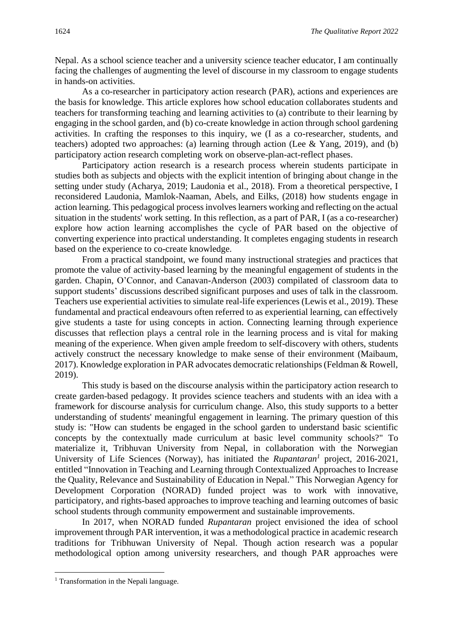Nepal. As a school science teacher and a university science teacher educator, I am continually facing the challenges of augmenting the level of discourse in my classroom to engage students in hands-on activities.

As a co-researcher in participatory action research (PAR), actions and experiences are the basis for knowledge. This article explores how school education collaborates students and teachers for transforming teaching and learning activities to (a) contribute to their learning by engaging in the school garden, and (b) co-create knowledge in action through school gardening activities. In crafting the responses to this inquiry, we (I as a co-researcher, students, and teachers) adopted two approaches: (a) learning through action (Lee & Yang, 2019), and (b) participatory action research completing work on observe-plan-act-reflect phases.

Participatory action research is a research process wherein students participate in studies both as subjects and objects with the explicit intention of bringing about change in the setting under study (Acharya, 2019; Laudonia et al., 2018). From a theoretical perspective, I reconsidered Laudonia, Mamlok-Naaman, Abels, and Eilks, (2018) how students engage in action learning. This pedagogical process involves learners working and reflecting on the actual situation in the students' work setting. In this reflection, as a part of PAR, I (as a co-researcher) explore how action learning accomplishes the cycle of PAR based on the objective of converting experience into practical understanding. It completes engaging students in research based on the experience to co-create knowledge.

From a practical standpoint, we found many instructional strategies and practices that promote the value of activity-based learning by the meaningful engagement of students in the garden. Chapin, O'Connor, and Canavan-Anderson (2003) compilated of classroom data to support students' discussions described significant purposes and uses of talk in the classroom. Teachers use experiential activities to simulate real-life experiences (Lewis et al., 2019). These fundamental and practical endeavours often referred to as experiential learning, can effectively give students a taste for using concepts in action. Connecting learning through experience discusses that reflection plays a central role in the learning process and is vital for making meaning of the experience. When given ample freedom to self-discovery with others, students actively construct the necessary knowledge to make sense of their environment (Maibaum, 2017). Knowledge exploration in PAR advocates democratic relationships (Feldman & Rowell, 2019).

This study is based on the discourse analysis within the participatory action research to create garden-based pedagogy. It provides science teachers and students with an idea with a framework for discourse analysis for curriculum change. Also, this study supports to a better understanding of students' meaningful engagement in learning. The primary question of this study is: "How can students be engaged in the school garden to understand basic scientific concepts by the contextually made curriculum at basic level community schools?" To materialize it, Tribhuvan University from Nepal, in collaboration with the Norwegian University of Life Sciences (Norway), has initiated the *Rupantaran<sup>1</sup>* project, 2016-2021, entitled "Innovation in Teaching and Learning through Contextualized Approaches to Increase the Quality, Relevance and Sustainability of Education in Nepal." This Norwegian Agency for Development Corporation (NORAD) funded project was to work with innovative, participatory, and rights-based approaches to improve teaching and learning outcomes of basic school students through community empowerment and sustainable improvements.

In 2017, when NORAD funded *Rupantaran* project envisioned the idea of school improvement through PAR intervention, it was a methodological practice in academic research traditions for Tribhuwan University of Nepal. Though action research was a popular methodological option among university researchers, and though PAR approaches were

<sup>&</sup>lt;sup>1</sup> Transformation in the Nepali language.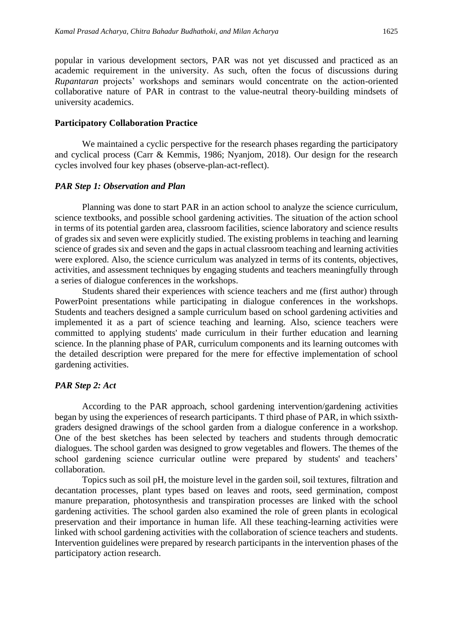popular in various development sectors, PAR was not yet discussed and practiced as an academic requirement in the university. As such, often the focus of discussions during *Rupantaran* projects' workshops and seminars would concentrate on the action-oriented collaborative nature of PAR in contrast to the value-neutral theory-building mindsets of

#### **Participatory Collaboration Practice**

university academics.

We maintained a cyclic perspective for the research phases regarding the participatory and cyclical process (Carr & Kemmis, 1986; Nyanjom, 2018). Our design for the research cycles involved four key phases (observe-plan-act-reflect).

#### *PAR Step 1: Observation and Plan*

Planning was done to start PAR in an action school to analyze the science curriculum, science textbooks, and possible school gardening activities. The situation of the action school in terms of its potential garden area, classroom facilities, science laboratory and science results of grades six and seven were explicitly studied. The existing problems in teaching and learning science of grades six and seven and the gaps in actual classroom teaching and learning activities were explored. Also, the science curriculum was analyzed in terms of its contents, objectives, activities, and assessment techniques by engaging students and teachers meaningfully through a series of dialogue conferences in the workshops.

Students shared their experiences with science teachers and me (first author) through PowerPoint presentations while participating in dialogue conferences in the workshops. Students and teachers designed a sample curriculum based on school gardening activities and implemented it as a part of science teaching and learning. Also, science teachers were committed to applying students' made curriculum in their further education and learning science. In the planning phase of PAR, curriculum components and its learning outcomes with the detailed description were prepared for the mere for effective implementation of school gardening activities.

#### *PAR Step 2: Act*

According to the PAR approach, school gardening intervention/gardening activities began by using the experiences of research participants. T third phase of PAR, in which ssixthgraders designed drawings of the school garden from a dialogue conference in a workshop. One of the best sketches has been selected by teachers and students through democratic dialogues. The school garden was designed to grow vegetables and flowers. The themes of the school gardening science curricular outline were prepared by students' and teachers' collaboration.

Topics such as soil pH, the moisture level in the garden soil, soil textures, filtration and decantation processes, plant types based on leaves and roots, seed germination, compost manure preparation, photosynthesis and transpiration processes are linked with the school gardening activities. The school garden also examined the role of green plants in ecological preservation and their importance in human life. All these teaching-learning activities were linked with school gardening activities with the collaboration of science teachers and students. Intervention guidelines were prepared by research participants in the intervention phases of the participatory action research.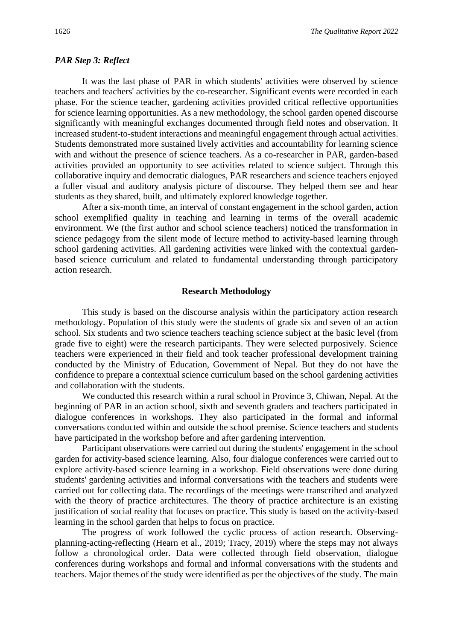#### *PAR Step 3: Reflect*

It was the last phase of PAR in which students' activities were observed by science teachers and teachers' activities by the co-researcher. Significant events were recorded in each phase. For the science teacher, gardening activities provided critical reflective opportunities for science learning opportunities. As a new methodology, the school garden opened discourse significantly with meaningful exchanges documented through field notes and observation. It increased student-to-student interactions and meaningful engagement through actual activities. Students demonstrated more sustained lively activities and accountability for learning science with and without the presence of science teachers. As a co-researcher in PAR, garden-based activities provided an opportunity to see activities related to science subject. Through this collaborative inquiry and democratic dialogues, PAR researchers and science teachers enjoyed a fuller visual and auditory analysis picture of discourse. They helped them see and hear students as they shared, built, and ultimately explored knowledge together.

After a six-month time, an interval of constant engagement in the school garden, action school exemplified quality in teaching and learning in terms of the overall academic environment. We (the first author and school science teachers) noticed the transformation in science pedagogy from the silent mode of lecture method to activity-based learning through school gardening activities. All gardening activities were linked with the contextual gardenbased science curriculum and related to fundamental understanding through participatory action research.

#### **Research Methodology**

This study is based on the discourse analysis within the participatory action research methodology. Population of this study were the students of grade six and seven of an action school. Six students and two science teachers teaching science subject at the basic level (from grade five to eight) were the research participants. They were selected purposively. Science teachers were experienced in their field and took teacher professional development training conducted by the Ministry of Education, Government of Nepal. But they do not have the confidence to prepare a contextual science curriculum based on the school gardening activities and collaboration with the students.

We conducted this research within a rural school in Province 3, Chiwan, Nepal. At the beginning of PAR in an action school, sixth and seventh graders and teachers participated in dialogue conferences in workshops. They also participated in the formal and informal conversations conducted within and outside the school premise. Science teachers and students have participated in the workshop before and after gardening intervention.

Participant observations were carried out during the students' engagement in the school garden for activity-based science learning. Also, four dialogue conferences were carried out to explore activity-based science learning in a workshop. Field observations were done during students' gardening activities and informal conversations with the teachers and students were carried out for collecting data. The recordings of the meetings were transcribed and analyzed with the theory of practice architectures. The theory of practice architecture is an existing justification of social reality that focuses on practice. This study is based on the activity-based learning in the school garden that helps to focus on practice.

The progress of work followed the cyclic process of action research. Observingplanning-acting-reflecting (Hearn et al., 2019; Tracy, 2019) where the steps may not always follow a chronological order. Data were collected through field observation, dialogue conferences during workshops and formal and informal conversations with the students and teachers. Major themes of the study were identified as per the objectives of the study. The main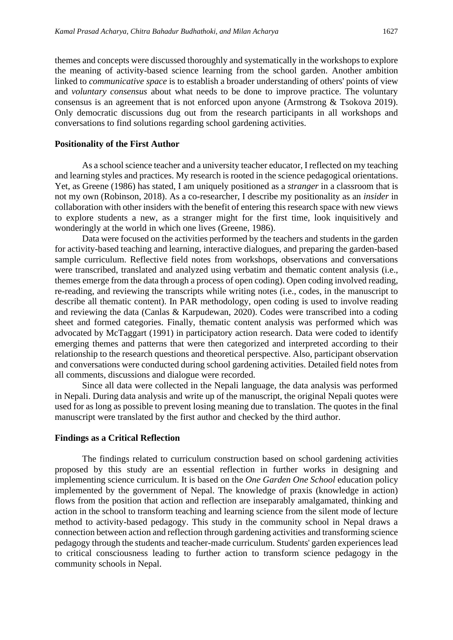themes and concepts were discussed thoroughly and systematically in the workshops to explore the meaning of activity-based science learning from the school garden. Another ambition linked to *communicative space* is to establish a broader understanding of others' points of view and *voluntary consensus* about what needs to be done to improve practice. The voluntary consensus is an agreement that is not enforced upon anyone (Armstrong & Tsokova 2019). Only democratic discussions dug out from the research participants in all workshops and conversations to find solutions regarding school gardening activities.

#### **Positionality of the First Author**

As a school science teacher and a university teacher educator, I reflected on my teaching and learning styles and practices. My research is rooted in the science pedagogical orientations. Yet, as Greene (1986) has stated, I am uniquely positioned as a *stranger* in a classroom that is not my own (Robinson, 2018). As a co-researcher, I describe my positionality as an *insider* in collaboration with other insiders with the benefit of entering this research space with new views to explore students a new, as a stranger might for the first time, look inquisitively and wonderingly at the world in which one lives (Greene, 1986).

Data were focused on the activities performed by the teachers and students in the garden for activity-based teaching and learning, interactive dialogues, and preparing the garden-based sample curriculum. Reflective field notes from workshops, observations and conversations were transcribed, translated and analyzed using verbatim and thematic content analysis (i.e., themes emerge from the data through a process of open coding). Open coding involved reading, re-reading, and reviewing the transcripts while writing notes (i.e., codes, in the manuscript to describe all thematic content). In PAR methodology, open coding is used to involve reading and reviewing the data (Canlas & Karpudewan, 2020). Codes were transcribed into a coding sheet and formed categories. Finally, thematic content analysis was performed which was advocated by McTaggart (1991) in participatory action research. Data were coded to identify emerging themes and patterns that were then categorized and interpreted according to their relationship to the research questions and theoretical perspective. Also, participant observation and conversations were conducted during school gardening activities. Detailed field notes from all comments, discussions and dialogue were recorded.

Since all data were collected in the Nepali language, the data analysis was performed in Nepali. During data analysis and write up of the manuscript, the original Nepali quotes were used for as long as possible to prevent losing meaning due to translation. The quotes in the final manuscript were translated by the first author and checked by the third author.

#### **Findings as a Critical Reflection**

The findings related to curriculum construction based on school gardening activities proposed by this study are an essential reflection in further works in designing and implementing science curriculum. It is based on the *One Garden One School* education policy implemented by the government of Nepal. The knowledge of praxis (knowledge in action) flows from the position that action and reflection are inseparably amalgamated, thinking and action in the school to transform teaching and learning science from the silent mode of lecture method to activity-based pedagogy. This study in the community school in Nepal draws a connection between action and reflection through gardening activities and transforming science pedagogy through the students and teacher-made curriculum. Students' garden experiences lead to critical consciousness leading to further action to transform science pedagogy in the community schools in Nepal.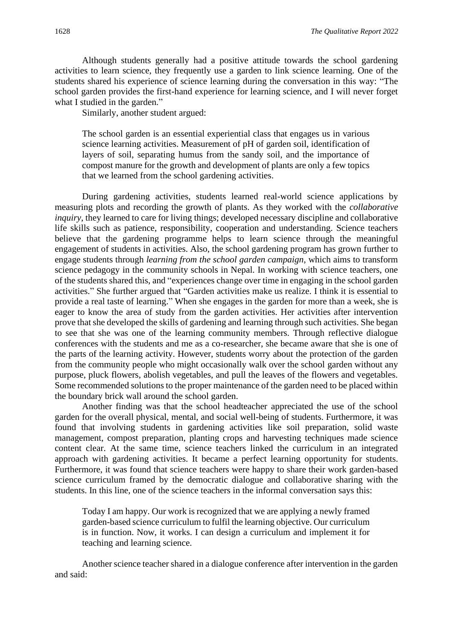Although students generally had a positive attitude towards the school gardening activities to learn science, they frequently use a garden to link science learning. One of the students shared his experience of science learning during the conversation in this way: "The school garden provides the first-hand experience for learning science, and I will never forget what I studied in the garden."

Similarly, another student argued:

The school garden is an essential experiential class that engages us in various science learning activities. Measurement of pH of garden soil, identification of layers of soil, separating humus from the sandy soil, and the importance of compost manure for the growth and development of plants are only a few topics that we learned from the school gardening activities.

During gardening activities, students learned real-world science applications by measuring plots and recording the growth of plants. As they worked with the *collaborative inquiry*, they learned to care for living things; developed necessary discipline and collaborative life skills such as patience, responsibility, cooperation and understanding. Science teachers believe that the gardening programme helps to learn science through the meaningful engagement of students in activities. Also, the school gardening program has grown further to engage students through *learning from the school garden campaign*, which aims to transform science pedagogy in the community schools in Nepal. In working with science teachers, one of the students shared this, and "experiences change over time in engaging in the school garden activities." She further argued that "Garden activities make us realize. I think it is essential to provide a real taste of learning." When she engages in the garden for more than a week, she is eager to know the area of study from the garden activities. Her activities after intervention prove that she developed the skills of gardening and learning through such activities. She began to see that she was one of the learning community members. Through reflective dialogue conferences with the students and me as a co-researcher, she became aware that she is one of the parts of the learning activity. However, students worry about the protection of the garden from the community people who might occasionally walk over the school garden without any purpose, pluck flowers, abolish vegetables, and pull the leaves of the flowers and vegetables. Some recommended solutions to the proper maintenance of the garden need to be placed within the boundary brick wall around the school garden.

Another finding was that the school headteacher appreciated the use of the school garden for the overall physical, mental, and social well-being of students. Furthermore, it was found that involving students in gardening activities like soil preparation, solid waste management, compost preparation, planting crops and harvesting techniques made science content clear. At the same time, science teachers linked the curriculum in an integrated approach with gardening activities. It became a perfect learning opportunity for students. Furthermore, it was found that science teachers were happy to share their work garden-based science curriculum framed by the democratic dialogue and collaborative sharing with the students. In this line, one of the science teachers in the informal conversation says this:

Today I am happy. Our work is recognized that we are applying a newly framed garden-based science curriculum to fulfil the learning objective. Our curriculum is in function. Now, it works. I can design a curriculum and implement it for teaching and learning science.

Another science teacher shared in a dialogue conference after intervention in the garden and said: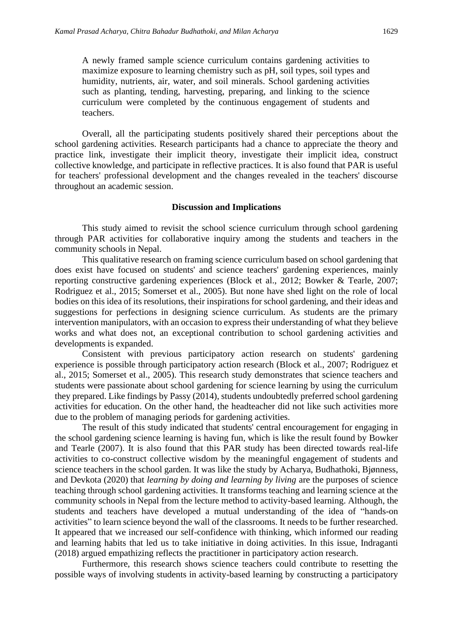A newly framed sample science curriculum contains gardening activities to maximize exposure to learning chemistry such as pH, soil types, soil types and humidity, nutrients, air, water, and soil minerals. School gardening activities such as planting, tending, harvesting, preparing, and linking to the science curriculum were completed by the continuous engagement of students and teachers.

Overall, all the participating students positively shared their perceptions about the school gardening activities. Research participants had a chance to appreciate the theory and practice link, investigate their implicit theory, investigate their implicit idea, construct collective knowledge, and participate in reflective practices. It is also found that PAR is useful for teachers' professional development and the changes revealed in the teachers' discourse throughout an academic session.

#### **Discussion and Implications**

This study aimed to revisit the school science curriculum through school gardening through PAR activities for collaborative inquiry among the students and teachers in the community schools in Nepal.

This qualitative research on framing science curriculum based on school gardening that does exist have focused on students' and science teachers' gardening experiences, mainly reporting constructive gardening experiences (Block et al., 2012; Bowker & Tearle, 2007; Rodriguez et al., 2015; Somerset et al., 2005). But none have shed light on the role of local bodies on this idea of its resolutions, their inspirations for school gardening, and their ideas and suggestions for perfections in designing science curriculum. As students are the primary intervention manipulators, with an occasion to express their understanding of what they believe works and what does not, an exceptional contribution to school gardening activities and developments is expanded.

Consistent with previous participatory action research on students' gardening experience is possible through participatory action research (Block et al., 2007; Rodriguez et al., 2015; Somerset et al., 2005). This research study demonstrates that science teachers and students were passionate about school gardening for science learning by using the curriculum they prepared. Like findings by Passy (2014), students undoubtedly preferred school gardening activities for education. On the other hand, the headteacher did not like such activities more due to the problem of managing periods for gardening activities.

The result of this study indicated that students' central encouragement for engaging in the school gardening science learning is having fun, which is like the result found by Bowker and Tearle (2007). It is also found that this PAR study has been directed towards real-life activities to co-construct collective wisdom by the meaningful engagement of students and science teachers in the school garden. It was like the study by Acharya, Budhathoki, Bjønness, and Devkota (2020) that *learning by doing and learning by living* are the purposes of science teaching through school gardening activities. It transforms teaching and learning science at the community schools in Nepal from the lecture method to activity-based learning. Although, the students and teachers have developed a mutual understanding of the idea of "hands-on activities" to learn science beyond the wall of the classrooms. It needs to be further researched. It appeared that we increased our self-confidence with thinking, which informed our reading and learning habits that led us to take initiative in doing activities. In this issue, Indraganti (2018) argued empathizing reflects the practitioner in participatory action research.

Furthermore, this research shows science teachers could contribute to resetting the possible ways of involving students in activity-based learning by constructing a participatory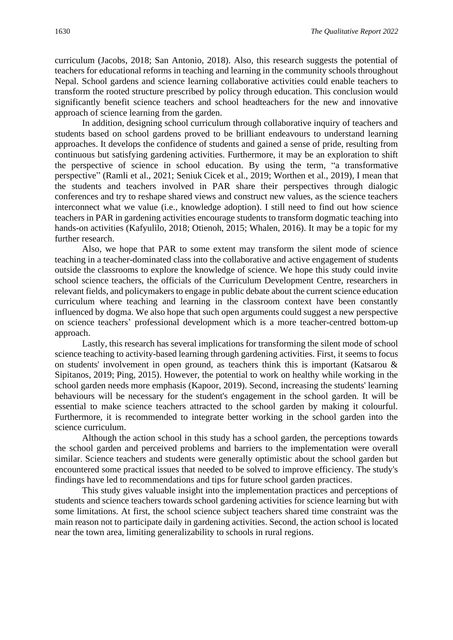curriculum (Jacobs, 2018; San Antonio, 2018). Also, this research suggests the potential of teachers for educational reforms in teaching and learning in the community schools throughout Nepal. School gardens and science learning collaborative activities could enable teachers to transform the rooted structure prescribed by policy through education. This conclusion would significantly benefit science teachers and school headteachers for the new and innovative approach of science learning from the garden.

In addition, designing school curriculum through collaborative inquiry of teachers and students based on school gardens proved to be brilliant endeavours to understand learning approaches. It develops the confidence of students and gained a sense of pride, resulting from continuous but satisfying gardening activities. Furthermore, it may be an exploration to shift the perspective of science in school education. By using the term, "a transformative perspective" (Ramli et al., 2021; Seniuk Cicek et al., 2019; Worthen et al., 2019)*,* I mean that the students and teachers involved in PAR share their perspectives through dialogic conferences and try to reshape shared views and construct new values, as the science teachers interconnect what we value (i.e., knowledge adoption). I still need to find out how science teachers in PAR in gardening activities encourage students to transform dogmatic teaching into hands-on activities (Kafyulilo, 2018; Otienoh, 2015; Whalen, 2016). It may be a topic for my further research.

Also, we hope that PAR to some extent may transform the silent mode of science teaching in a teacher-dominated class into the collaborative and active engagement of students outside the classrooms to explore the knowledge of science. We hope this study could invite school science teachers, the officials of the Curriculum Development Centre, researchers in relevant fields, and policymakers to engage in public debate about the current science education curriculum where teaching and learning in the classroom context have been constantly influenced by dogma. We also hope that such open arguments could suggest a new perspective on science teachers' professional development which is a more teacher-centred bottom-up approach.

Lastly, this research has several implications for transforming the silent mode of school science teaching to activity-based learning through gardening activities. First, it seems to focus on students' involvement in open ground, as teachers think this is important (Katsarou & Sipitanos, 2019; Ping, 2015). However, the potential to work on healthy while working in the school garden needs more emphasis (Kapoor, 2019). Second, increasing the students' learning behaviours will be necessary for the student's engagement in the school garden. It will be essential to make science teachers attracted to the school garden by making it colourful. Furthermore, it is recommended to integrate better working in the school garden into the science curriculum.

Although the action school in this study has a school garden, the perceptions towards the school garden and perceived problems and barriers to the implementation were overall similar. Science teachers and students were generally optimistic about the school garden but encountered some practical issues that needed to be solved to improve efficiency. The study's findings have led to recommendations and tips for future school garden practices.

This study gives valuable insight into the implementation practices and perceptions of students and science teachers towards school gardening activities for science learning but with some limitations. At first, the school science subject teachers shared time constraint was the main reason not to participate daily in gardening activities. Second, the action school is located near the town area, limiting generalizability to schools in rural regions.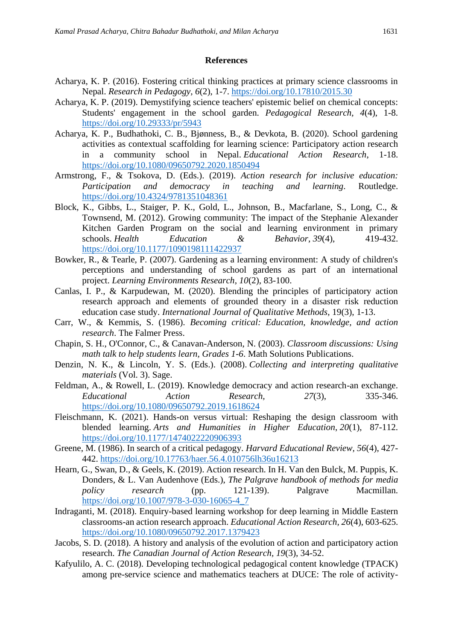#### **References**

- Acharya, K. P. (2016). Fostering critical thinking practices at primary science classrooms in Nepal. *Research in Pedagogy, 6*(2), 1-7.<https://doi.org/10.17810/2015.30>
- Acharya, K. P. (2019). Demystifying science teachers' epistemic belief on chemical concepts: Students' engagement in the school garden. *Pedagogical Research, 4*(4), 1-8. <https://doi.org/10.29333/pr/5943>
- Acharya, K. P., Budhathoki, C. B., Bjønness, B., & Devkota, B. (2020). School gardening activities as contextual scaffolding for learning science: Participatory action research in a community school in Nepal. *Educational Action Research*, 1-18. <https://doi.org/10.1080/09650792.2020.1850494>
- Armstrong, F., & Tsokova, D. (Eds.). (2019). *Action research for inclusive education: Participation and democracy in teaching and learning*. Routledge. <https://doi.org/10.4324/9781351048361>
- Block, K., Gibbs, L., Staiger, P. K., Gold, L., Johnson, B., Macfarlane, S., Long, C., & Townsend, M. (2012). Growing community: The impact of the Stephanie Alexander Kitchen Garden Program on the social and learning environment in primary schools. *Health Education & Behavior*, *39*(4), 419-432. <https://doi.org/10.1177/1090198111422937>
- Bowker, R., & Tearle, P. (2007). Gardening as a learning environment: A study of children's perceptions and understanding of school gardens as part of an international project. *Learning Environments Research*, *10*(2), 83-100.
- Canlas, I. P., & Karpudewan, M. (2020). Blending the principles of participatory action research approach and elements of grounded theory in a disaster risk reduction education case study. *International Journal of Qualitative Methods*, 19(3), 1-13.
- Carr, W., & Kemmis, S. (1986). *Becoming critical: Education, knowledge, and action research*. The Falmer Press.
- Chapin, S. H., O'Connor, C., & Canavan-Anderson, N. (2003). *Classroom discussions: Using math talk to help students learn, Grades 1-6*. Math Solutions Publications.
- Denzin, N. K., & Lincoln, Y. S. (Eds.). (2008). *Collecting and interpreting qualitative materials* (Vol. 3). Sage.
- Feldman, A., & Rowell, L. (2019). Knowledge democracy and action research-an exchange. *Educational Action Research, 27*(3), 335-346. <https://doi.org/10.1080/09650792.2019.1618624>
- Fleischmann, K. (2021). Hands-on versus virtual: Reshaping the design classroom with blended learning. *Arts and Humanities in Higher Education*, *20*(1), 87-112. <https://doi.org/10.1177/1474022220906393>
- Greene, M. (1986). In search of a critical pedagogy. *Harvard Educational Review, 56*(4), 427- 442.<https://doi.org/10.17763/haer.56.4.010756lh36u16213>
- Hearn, G., Swan, D., & Geels, K. (2019). Action research. In H. Van den Bulck, M. Puppis, K. Donders, & L. Van Audenhove (Eds.), *The Palgrave handbook of methods for media policy research* (pp. 121-139). Palgrave Macmillan. [https://doi.org/10.1007/978-3-030-16065-4\\_7](https://doi.org/10.1007/978-3-030-16065-4_7)
- Indraganti, M. (2018). Enquiry-based learning workshop for deep learning in Middle Eastern classrooms-an action research approach. *Educational Action Research, 26*(4), 603-625. <https://doi.org/10.1080/09650792.2017.1379423>
- Jacobs, S. D. (2018). A history and analysis of the evolution of action and participatory action research. *The Canadian Journal of Action Research, 19*(3), 34-52.
- Kafyulilo, A. C. (2018). Developing technological pedagogical content knowledge (TPACK) among pre-service science and mathematics teachers at DUCE: The role of activity-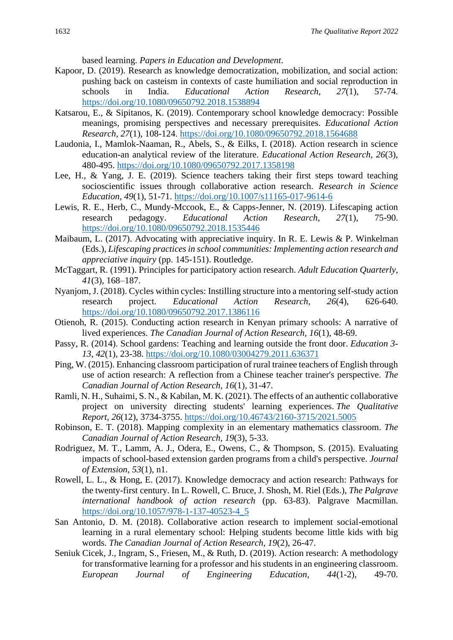based learning. *Papers in Education and Development*.

- Kapoor, D. (2019). Research as knowledge democratization, mobilization, and social action: pushing back on casteism in contexts of caste humiliation and social reproduction in schools in India. *Educational Action Research, 27*(1), 57-74. <https://doi.org/10.1080/09650792.2018.1538894>
- Katsarou, E., & Sipitanos, K. (2019). Contemporary school knowledge democracy: Possible meanings, promising perspectives and necessary prerequisites. *Educational Action Research, 27*(1), 108-124.<https://doi.org/10.1080/09650792.2018.1564688>
- Laudonia, I., Mamlok-Naaman, R., Abels, S., & Eilks, I. (2018). Action research in science education-an analytical review of the literature. *Educational Action Research, 26*(3), 480-495.<https://doi.org/10.1080/09650792.2017.1358198>
- Lee, H., & Yang, J. E. (2019). Science teachers taking their first steps toward teaching socioscientific issues through collaborative action research. *Research in Science Education, 49*(1), 51-71.<https://doi.org/10.1007/s11165-017-9614-6>
- Lewis, R. E., Herb, C., Mundy-Mccook, E., & Capps-Jenner, N. (2019). Lifescaping action research pedagogy. *Educational Action Research, 27*(1), 75-90. <https://doi.org/10.1080/09650792.2018.1535446>
- Maibaum, L. (2017). Advocating with appreciative inquiry. In R. E. Lewis & P. Winkelman (Eds.), *Lifescaping practices in school communities: Implementing action research and appreciative inquiry* (pp. 145-151). Routledge.
- McTaggart, R. (1991). Principles for participatory action research. *Adult Education Quarterly*, *41*(3), 168–187.
- Nyanjom, J. (2018). Cycles within cycles: Instilling structure into a mentoring self-study action research project. *Educational Action Research, 26*(4), 626-640. <https://doi.org/10.1080/09650792.2017.1386116>
- Otienoh, R. (2015). Conducting action research in Kenyan primary schools: A narrative of lived experiences. *The Canadian Journal of Action Research, 16*(1), 48-69.
- Passy, R. (2014). School gardens: Teaching and learning outside the front door. *Education 3- 13*, *42*(1), 23-38.<https://doi.org/10.1080/03004279.2011.636371>
- Ping, W. (2015). Enhancing classroom participation of rural trainee teachers of English through use of action research: A reflection from a Chinese teacher trainer's perspective. *The Canadian Journal of Action Research, 16*(1), 31-47.
- Ramli, N. H., Suhaimi, S. N., & Kabilan, M. K. (2021). The effects of an authentic collaborative project on university directing students' learning experiences. *The Qualitative Report*, *26*(12), 3734-3755.<https://doi.org/10.46743/2160-3715/2021.5005>
- Robinson, E. T. (2018). Mapping complexity in an elementary mathematics classroom. *The Canadian Journal of Action Research, 19*(3), 5-33.
- Rodriguez, M. T., Lamm, A. J., Odera, E., Owens, C., & Thompson, S. (2015). Evaluating impacts of school-based extension garden programs from a child's perspective. *Journal of Extension*, *53*(1), n1.
- Rowell, L. L., & Hong, E. (2017). Knowledge democracy and action research: Pathways for the twenty-first century. In L. Rowell, C. Bruce, J. Shosh, M. Riel (Eds.), *The Palgrave international handbook of action research* (pp. 63-83). Palgrave Macmillan. [https://doi.org/10.1057/978-1-137-40523-4\\_5](https://doi.org/10.1057/978-1-137-40523-4_5)
- San Antonio, D. M. (2018). Collaborative action research to implement social-emotional learning in a rural elementary school: Helping students become little kids with big words. *The Canadian Journal of Action Research, 19*(2), 26-47.
- Seniuk Cicek, J., Ingram, S., Friesen, M., & Ruth, D. (2019). Action research: A methodology for transformative learning for a professor and his students in an engineering classroom. *European Journal of Engineering Education, 44*(1-2), 49-70.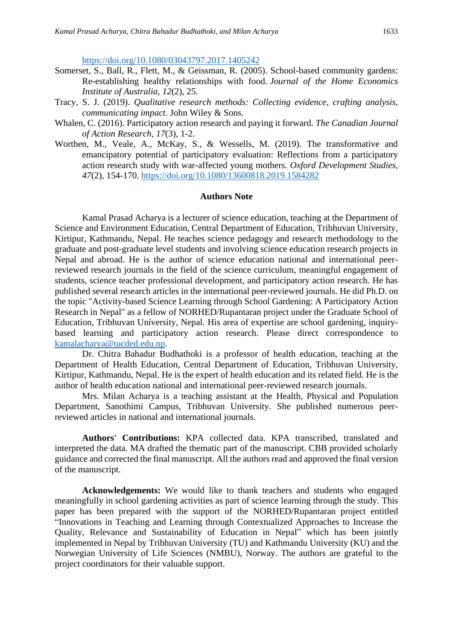<https://doi.org/10.1080/03043797.2017.1405242>

- Somerset, S., Ball, R., Flett, M., & Geissman, R. (2005). School-based community gardens: Re-establishing healthy relationships with food. *Journal of the Home Economics Institute of Australia*, *12*(2), 25.
- Tracy, S. J. (2019). *Qualitative research methods: Collecting evidence, crafting analysis, communicating impact*. John Wiley & Sons.
- Whalen, C. (2016). Participatory action research and paying it forward. *The Canadian Journal of Action Research, 17*(3), 1-2.
- Worthen, M., Veale, A., McKay, S., & Wessells, M. (2019). The transformative and emancipatory potential of participatory evaluation: Reflections from a participatory action research study with war-affected young mothers. *Oxford Development Studies, 47*(2), 154-170.<https://doi.org/10.1080/13600818.2019.1584282>

#### **Authors Note**

Kamal Prasad Acharya is a lecturer of science education, teaching at the Department of Science and Environment Education, Central Department of Education, Tribhuvan University, Kirtipur, Kathmandu, Nepal. He teaches science pedagogy and research methodology to the graduate and post-graduate level students and involving science education research projects in Nepal and abroad. He is the author of science education national and international peerreviewed research journals in the field of the science curriculum, meaningful engagement of students, science teacher professional development, and participatory action research. He has published several research articles in the international peer-reviewed journals. He did Ph.D. on the topic "Activity-based Science Learning through School Gardening: A Participatory Action Research in Nepal" as a fellow of NORHED/Rupantaran project under the Graduate School of Education, Tribhuvan University, Nepal. His area of expertise are school gardening, inquirybased learning and participatory action research. Please direct correspondence to [kamalacharya@tucded.edu.np.](mailto:kamalacharya@tucded.edu.np)

Dr. Chitra Bahadur Budhathoki is a professor of health education, teaching at the Department of Health Education, Central Department of Education, Tribhuvan University, Kirtipur, Kathmandu, Nepal. He is the expert of health education and its related field. He is the author of health education national and international peer-reviewed research journals.

Mrs. Milan Acharya is a teaching assistant at the Health, Physical and Population Department, Sanothimi Campus, Tribhuvan University. She published numerous peerreviewed articles in national and international journals.

**Authors' Contributions:** KPA collected data. KPA transcribed, translated and interpreted the data. MA drafted the thematic part of the manuscript. CBB provided scholarly guidance and corrected the final manuscript. All the authors read and approved the final version of the manuscript.

**Acknowledgements:** We would like to thank teachers and students who engaged meaningfully in school gardening activities as part of science learning through the study. This paper has been prepared with the support of the NORHED/Rupantaran project entitled "Innovations in Teaching and Learning through Contextualized Approaches to Increase the Quality, Relevance and Sustainability of Education in Nepal" which has been jointly implemented in Nepal by Tribhuvan University (TU) and Kathmandu University (KU) and the Norwegian University of Life Sciences (NMBU), Norway. The authors are grateful to the project coordinators for their valuable support.